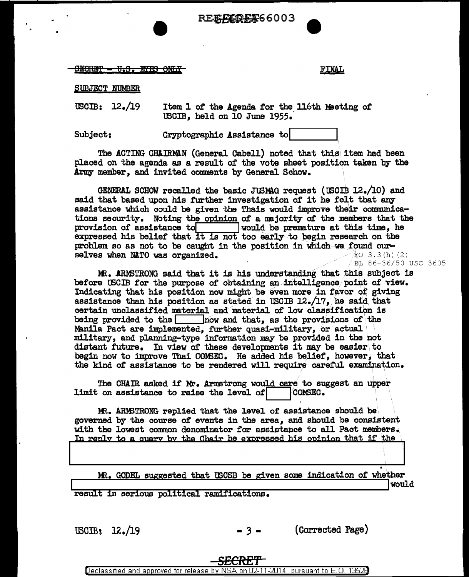

SEGRET = U.S. ETES ONLY

FINAL

SUBJECT NUMBER

USCIB:  $12\cdot/19$  Item 1 of the Agenda for the 116th Meeting of USCIB, held on 10 June 1955.·

Subject: Cryptographic Assistance to

The ACTING CHAIRMAN (General Cabell) noted that this item had been placed on the agenda as a result of the vote sheet position taken by the Army member, and invited comments by General Schow.

GENERAL SCHOW recalled the basic JUSMAG request (USCIB  $12.4/10$ ) and said that based upon his further investigation of it he felt that any assistance which could be given the Thais would improve their communications security. Noting the opinion of a majority of the members that the provision of assistance to would be premature at this time, he would be premature at this time, he expressed his belief that it is not too early to begin research on the problem so as not to be caught in the position in which we found our-<br>selves when NATO was organized.  $\qquad$   $\qquad$   $\qquad$   $\qquad$   $\qquad$   $\qquad$   $\qquad$   $\qquad$   $\qquad$   $\qquad$   $\qquad$   $\qquad$   $\qquad$   $\qquad$   $\qquad$   $\qquad$   $\qquad$   $\qquad$   $\qquad$   $\qquad$ selves when NATO was organized.

PL 86-36/50 USC 3605

MR. ARMSTRONG said that it is his understanding that this subject is before USCIB for the purpose of obtaining an intelligence point of view. Indicating that his position now might be even more in favor of giving assistance than his position as stated in USCIB  $12./17$ , he said that certain unclassified material and material of low classification is being provided to the  $\qquad$  now and that, as the provisions of the Manila Pact are implemented, further quasi-military, or actual military, and planning-type information may be provided in the not distant future. In view of these developments it may be easier\ to begin now to improve Thai COMSEC. He added his belief, however, that the kind of assistance to be rendered will require careful examination.

The CHAIR asked if  $\mathbf{M}_r$ . Armstrong would care to suggest an upper on assistance to raise the level of  $\begin{bmatrix} 0 & 0 \end{bmatrix}$ limit on assistance to raise the level of

MR. ARMSTRONG replied that the level of assistance should be governed by the course of events in the area, and should be consistent with the lowest common denominator for assistance to all Pact members. In reply to a query by the Chair he expressed his opinion that if the <u>In 2002, 30 & quoi, by the change of copperation and community and a</u>

MR. GODEL suggested that USCSB be given some indication of whether

result in serious political ramifications.

 $\text{USCB:} \quad 12 \cdot /19$   $-3 -$  (Corrected Page)

*SECRET* 

Declassified and approved for release by NSA on 02-11-2014 pursuant to E.O. 1352B